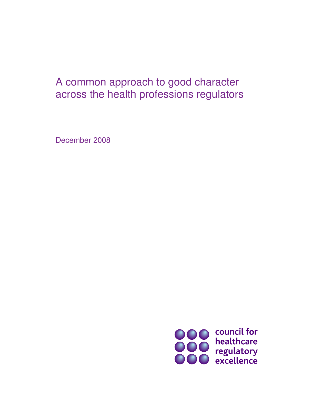# A common approach to good character across the health professions regulators

December 2008

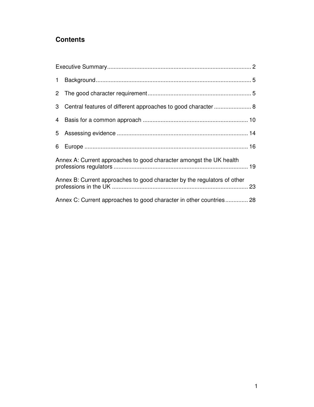# **Contents**

| Annex A: Current approaches to good character amongst the UK health      |  |  |
|--------------------------------------------------------------------------|--|--|
| Annex B: Current approaches to good character by the regulators of other |  |  |
| Annex C: Current approaches to good character in other countries 28      |  |  |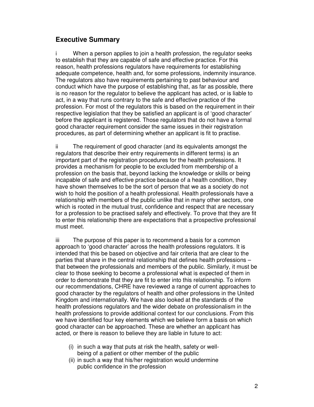## **Executive Summary**

i When a person applies to join a health profession, the regulator seeks to establish that they are capable of safe and effective practice. For this reason, health professions regulators have requirements for establishing adequate competence, health and, for some professions, indemnity insurance. The regulators also have requirements pertaining to past behaviour and conduct which have the purpose of establishing that, as far as possible, there is no reason for the regulator to believe the applicant has acted, or is liable to act, in a way that runs contrary to the safe and effective practice of the profession. For most of the regulators this is based on the requirement in their respective legislation that they be satisfied an applicant is of 'good character' before the applicant is registered. Those regulators that do not have a formal good character requirement consider the same issues in their registration procedures, as part of determining whether an applicant is fit to practise.

ii The requirement of good character (and its equivalents amongst the regulators that describe their entry requirements in different terms) is an important part of the registration procedures for the health professions. It provides a mechanism for people to be excluded from membership of a profession on the basis that, beyond lacking the knowledge or skills or being incapable of safe and effective practice because of a health condition, they have shown themselves to be the sort of person that we as a society do not wish to hold the position of a health professional. Health professionals have a relationship with members of the public unlike that in many other sectors, one which is rooted in the mutual trust, confidence and respect that are necessary for a profession to be practised safely and effectively. To prove that they are fit to enter this relationship there are expectations that a prospective professional must meet.

iii The purpose of this paper is to recommend a basis for a common approach to 'good character' across the health professions regulators. It is intended that this be based on objective and fair criteria that are clear to the parties that share in the central relationship that defines health professions – that between the professionals and members of the public. Similarly, it must be clear to those seeking to become a professional what is expected of them in order to demonstrate that they are fit to enter into this relationship. To inform our recommendations, CHRE have reviewed a range of current approaches to good character by the regulators of health and other professions in the United Kingdom and internationally. We have also looked at the standards of the health professions regulators and the wider debate on professionalism in the health professions to provide additional context for our conclusions. From this we have identified four key elements which we believe form a basis on which good character can be approached. These are whether an applicant has acted, or there is reason to believe they are liable in future to act:

- (i) in such a way that puts at risk the health, safety or wellbeing of a patient or other member of the public
- (ii) in such a way that his/her registration would undermine public confidence in the profession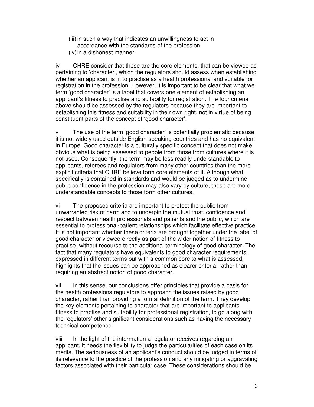(iii) in such a way that indicates an unwillingness to act in accordance with the standards of the profession (iv) in a dishonest manner.

iv CHRE consider that these are the core elements, that can be viewed as pertaining to 'character', which the regulators should assess when establishing whether an applicant is fit to practise as a health professional and suitable for registration in the profession. However, it is important to be clear that what we term 'good character' is a label that covers one element of establishing an applicant's fitness to practise and suitability for registration. The four criteria above should be assessed by the regulators because they are important to establishing this fitness and suitability in their own right, not in virtue of being constituent parts of the concept of 'good character'.

v The use of the term 'good character' is potentially problematic because it is not widely used outside English-speaking countries and has no equivalent in Europe. Good character is a culturally specific concept that does not make obvious what is being assessed to people from those from cultures where it is not used. Consequently, the term may be less readily understandable to applicants, referees and regulators from many other countries than the more explicit criteria that CHRE believe form core elements of it. Although what specifically is contained in standards and would be judged as to undermine public confidence in the profession may also vary by culture, these are more understandable concepts to those form other cultures.

vi The proposed criteria are important to protect the public from unwarranted risk of harm and to underpin the mutual trust, confidence and respect between health professionals and patients and the public, which are essential to professional-patient relationships which facilitate effective practice. It is not important whether these criteria are brought together under the label of good character or viewed directly as part of the wider notion of fitness to practise, without recourse to the additional terminology of good character. The fact that many regulators have equivalents to good character requirements, expressed in different terms but with a common core to what is assessed, highlights that the issues can be approached as clearer criteria, rather than requiring an abstract notion of good character.

vii In this sense, our conclusions offer principles that provide a basis for the health professions regulators to approach the issues raised by good character, rather than providing a formal definition of the term. They develop the key elements pertaining to character that are important to applicants' fitness to practise and suitability for professional registration, to go along with the regulators' other significant considerations such as having the necessary technical competence.

viii In the light of the information a regulator receives regarding an applicant, it needs the flexibility to judge the particularities of each case on its merits. The seriousness of an applicant's conduct should be judged in terms of its relevance to the practice of the profession and any mitigating or aggravating factors associated with their particular case. These considerations should be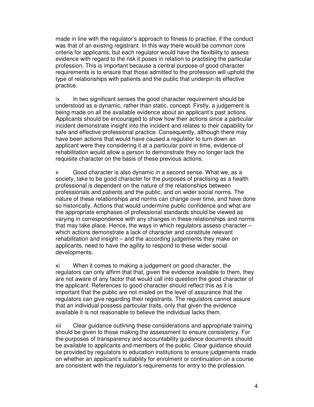made in line with the regulator's approach to fitness to practise, if the conduct was that of an existing registrant. In this way there would be common core criteria for applicants, but each regulator would have the flexibility to assess evidence with regard to the risk it poses in relation to practising the particular profession. This is important because a central purpose of good character requirements is to ensure that those admitted to the profession will uphold the type of relationships with patients and the public that underpin its effective practice.

ix In two significant senses the good character requirement should be understood as a dynamic, rather than static, concept. Firstly, a judgement is being made on all the available evidence about an applicant's past actions. Applicants should be encouraged to show how their actions since a particular incident demonstrate insight into the incident and relates to their capability for safe and effective professional practice. Consequently, although there may have been actions that would have caused a regulator to turn down an applicant were they considering it at a particular point in time, evidence of rehabilitation would allow a person to demonstrate they no longer lack the requisite character on the basis of these previous actions.

x Good character is also dynamic in a second sense. What we, as a society, take to be good character for the purposes of practising as a health professional is dependent on the nature of the relationships between professionals and patients and the public, and on wider social norms. The nature of these relationships and norms can change over time, and have done so historically. Actions that would undermine public confidence and what are the appropriate emphases of professional standards should be viewed as varying in correspondence with any changes in these relationships and norms that may take place. Hence, the ways in which regulators assess character – which actions demonstrate a lack of character and constitute relevant rehabilitation and insight – and the according judgements they make on applicants, need to have the agility to respond to these wider social developments.

xi When it comes to making a judgement on good character, the regulators can only affirm that that, given the evidence available to them, they are not aware of any factor that would call into question the good character of the applicant. References to good character should reflect this as it is important that the public are not misled on the level of assurance that the regulators can give regarding their registrants. The regulators cannot assure that an individual possess particular traits, only that given the evidence available it is not reasonable to believe the individual lacks them.

xii Clear guidance outlining these considerations and appropriate training should be given to those making the assessment to ensure consistency. For the purposes of transparency and accountability guidance documents should be available to applicants and members of the public. Clear guidance should be provided by regulators to education institutions to ensure judgements made on whether an applicant's suitability for enrolment or continuation on a course are consistent with the regulator's requirements for entry to the profession.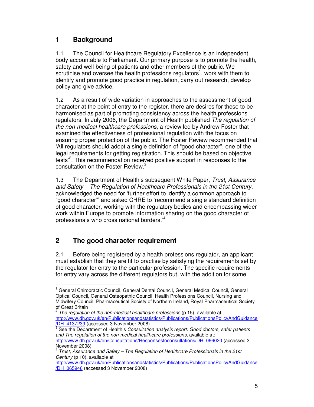## **1 Background**

1.1 The Council for Healthcare Regulatory Excellence is an independent body accountable to Parliament. Our primary purpose is to promote the health, safety and well-being of patients and other members of the public. We scrutinise and oversee the health professions regulators<sup>1</sup>, work with them to identify and promote good practice in regulation, carry out research, develop policy and give advice.

1.2 As a result of wide variation in approaches to the assessment of good character at the point of entry to the register, there are desires for these to be harmonised as part of promoting consistency across the health professions regulators. In July 2006, the Department of Health published The regulation of the non-medical healthcare professions, a review led by Andrew Foster that examined the effectiveness of professional regulation with the focus on ensuring proper protection of the public. The Foster Review recommended that 'All regulators should adopt a single definition of "good character", one of the legal requirements for getting registration. This should be based on objective tests<sup>2</sup>. This recommendation received positive support in responses to the consultation on the Foster Review.<sup>3</sup>

1.3 The Department of Health's subsequent White Paper, Trust, Assurance and Safety – The Regulation of Healthcare Professionals in the 21st Century, acknowledged the need for 'further effort to identify a common approach to "good character"' and asked CHRE to 'recommend a single standard definition of good character, working with the regulatory bodies and encompassing wider work within Europe to promote information sharing on the good character of professionals who cross national borders.'<sup>4</sup>

# **2 The good character requirement**

l

2.1 Before being registered by a health professions regulator, an applicant must establish that they are fit to practise by satisfying the requirements set by the regulator for entry to the particular profession. The specific requirements for entry vary across the different regulators but, with the addition for some

<sup>&</sup>lt;sup>1</sup> General Chiropractic Council, General Dental Council, General Medical Council, General Optical Council, General Osteopathic Council, Health Professions Council, Nursing and Midwifery Council, Pharmaceutical Society of Northern Ireland, Royal Pharmaceutical Society of Great Britain<br><sup>2</sup> The regulation

The regulation of the non-medical healthcare professions (p 15), available at: http://www.dh.gov.uk/en/Publicationsandstatistics/Publications/PublicationsPolicyAndGuidance /DH\_4137239 (accessed 3 November 2008)

 $3$  See the Department of Health's Consultation analysis report: Good doctors, safer patients and The regulation of the non-medical healthcare professions, available at: http://www.dh.gov.uk/en/Consultations/Responsestoconsultations/DH\_066020 (accessed 3 November 2008)

 $4$  Trust, Assurance and Safety – The Regulation of Healthcare Professionals in the 21st Century (p 10), available at

http://www.dh.gov.uk/en/Publicationsandstatistics/Publications/PublicationsPolicyAndGuidance /DH\_065946 (accessed 3 November 2008)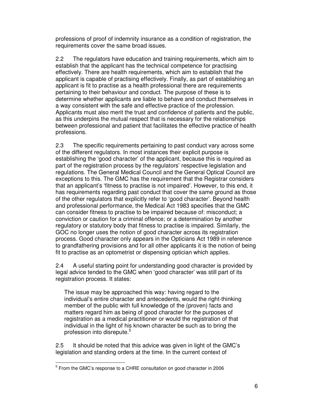professions of proof of indemnity insurance as a condition of registration, the requirements cover the same broad issues.

2.2 The regulators have education and training requirements, which aim to establish that the applicant has the technical competence for practising effectively. There are health requirements, which aim to establish that the applicant is capable of practising effectively. Finally, as part of establishing an applicant is fit to practise as a health professional there are requirements pertaining to their behaviour and conduct. The purpose of these is to determine whether applicants are liable to behave and conduct themselves in a way consistent with the safe and effective practice of the profession. Applicants must also merit the trust and confidence of patients and the public, as this underpins the mutual respect that is necessary for the relationships between professional and patient that facilitates the effective practice of health professions.

2.3 The specific requirements pertaining to past conduct vary across some of the different regulators. In most instances their explicit purpose is establishing the 'good character' of the applicant, because this is required as part of the registration process by the regulators' respective legislation and regulations. The General Medical Council and the General Optical Council are exceptions to this. The GMC has the requirement that the Registrar considers that an applicant's 'fitness to practise is not impaired'. However, to this end, it has requirements regarding past conduct that cover the same ground as those of the other regulators that explicitly refer to 'good character'. Beyond health and professional performance, the Medical Act 1983 specifies that the GMC can consider fitness to practise to be impaired because of: misconduct; a conviction or caution for a criminal offence; or a determination by another regulatory or statutory body that fitness to practise is impaired. Similarly, the GOC no longer uses the notion of good character across its registration process. Good character only appears in the Opticians Act 1989 in reference to grandfathering provisions and for all other applicants it is the notion of being fit to practise as an optometrist or dispensing optician which applies.

2.4 A useful starting point for understanding good character is provided by legal advice tended to the GMC when 'good character' was still part of its registration process. It states:

The issue may be approached this way: having regard to the individual's entire character and antecedents, would the right-thinking member of the public with full knowledge of the (proven) facts and matters regard him as being of good character for the purposes of registration as a medical practitioner or would the registration of that individual in the light of his known character be such as to bring the profession into disrepute.<sup>5</sup>

2.5 It should be noted that this advice was given in light of the GMC's legislation and standing orders at the time. In the current context of

 $5$  From the GMC's response to a CHRE consultation on good character in 2006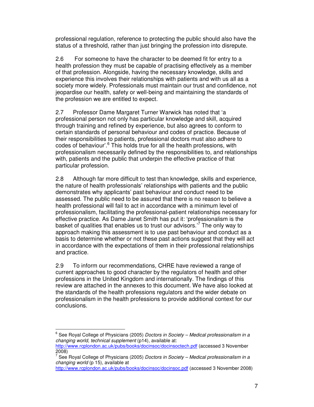professional regulation, reference to protecting the public should also have the status of a threshold, rather than just bringing the profession into disrepute.

2.6 For someone to have the character to be deemed fit for entry to a health profession they must be capable of practising effectively as a member of that profession. Alongside, having the necessary knowledge, skills and experience this involves their relationships with patients and with us all as a society more widely. Professionals must maintain our trust and confidence, not jeopardise our health, safety or well-being and maintaining the standards of the profession we are entitled to expect.

2.7 Professor Dame Margaret Turner Warwick has noted that 'a professional person not only has particular knowledge and skill, acquired through training and refined by experience, but also agrees to conform to certain standards of personal behaviour and codes of practice. Because of their responsibilities to patients, professional doctors must also adhere to codes of behaviour'.<sup>6</sup> This holds true for all the health professions, with professionalism necessarily defined by the responsibilities to, and relationships with, patients and the public that underpin the effective practice of that particular profession.

2.8 Although far more difficult to test than knowledge, skills and experience, the nature of health professionals' relationships with patients and the public demonstrates why applicants' past behaviour and conduct need to be assessed. The public need to be assured that there is no reason to believe a health professional will fail to act in accordance with a minimum level of professionalism, facilitating the professional-patient relationships necessary for effective practice. As Dame Janet Smith has put it: 'professionalism is the basket of qualities that enables us to trust our advisors.<sup>7</sup> The only way to approach making this assessment is to use past behaviour and conduct as a basis to determine whether or not these past actions suggest that they will act in accordance with the expectations of them in their professional relationships and practice.

2.9 To inform our recommendations, CHRE have reviewed a range of current approaches to good character by the regulators of health and other professions in the United Kingdom and internationally. The findings of this review are attached in the annexes to this document. We have also looked at the standards of the health professions regulators and the wider debate on professionalism in the health professions to provide additional context for our conclusions.

<sup>&</sup>lt;sup>6</sup> See Royal College of Physicians (2005) *Doctors in Society – Medical professionalism in a* changing world, technical supplement (p14), available at:

http://www.rcplondon.ac.uk/pubs/books/docinsoc/docinsoctech.pdf (accessed 3 November 2008)

<sup>7</sup> See Royal College of Physicians (2005) Doctors in Society – Medical professionalism in a changing world (p 15), available at

http://www.rcplondon.ac.uk/pubs/books/docinsoc/docinsoc.pdf (accessed 3 November 2008)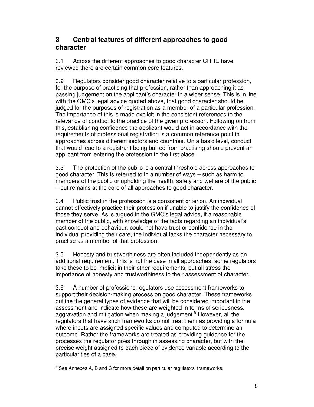## **3 Central features of different approaches to good character**

3.1 Across the different approaches to good character CHRE have reviewed there are certain common core features.

3.2 Regulators consider good character relative to a particular profession, for the purpose of practising that profession, rather than approaching it as passing judgement on the applicant's character in a wider sense. This is in line with the GMC's legal advice quoted above, that good character should be judged for the purposes of registration as a member of a particular profession. The importance of this is made explicit in the consistent references to the relevance of conduct to the practice of the given profession. Following on from this, establishing confidence the applicant would act in accordance with the requirements of professional registration is a common reference point in approaches across different sectors and countries. On a basic level, conduct that would lead to a registrant being barred from practising should prevent an applicant from entering the profession in the first place.

3.3 The protection of the public is a central threshold across approaches to good character. This is referred to in a number of ways – such as harm to members of the public or upholding the health, safety and welfare of the public – but remains at the core of all approaches to good character.

3.4 Public trust in the profession is a consistent criterion. An individual cannot effectively practice their profession if unable to justify the confidence of those they serve. As is argued in the GMC's legal advice, if a reasonable member of the public, with knowledge of the facts regarding an individual's past conduct and behaviour, could not have trust or confidence in the individual providing their care, the individual lacks the character necessary to practise as a member of that profession.

3.5 Honesty and trustworthiness are often included independently as an additional requirement. This is not the case in all approaches; some regulators take these to be implicit in their other requirements, but all stress the importance of honesty and trustworthiness to their assessment of character.

3.6 A number of professions regulators use assessment frameworks to support their decision-making process on good character. These frameworks outline the general types of evidence that will be considered important in the assessment and indicate how these are weighted in terms of seriousness, aggravation and mitigation when making a judgement.<sup>8</sup> However, all the regulators that have such frameworks do not treat them as providing a formula where inputs are assigned specific values and computed to determine an outcome. Rather the frameworks are treated as providing guidance for the processes the regulator goes through in assessing character, but with the precise weight assigned to each piece of evidence variable according to the particularities of a case. l

 $^8$  See Annexes A, B and C for more detail on particular regulators' frameworks.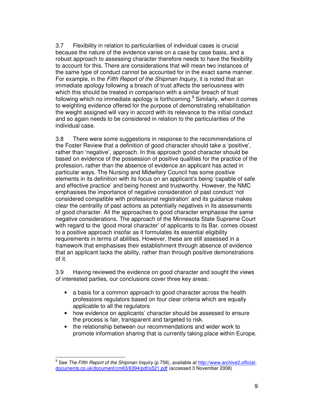3.7 Flexibility in relation to particularities of individual cases is crucial because the nature of the evidence varies on a case by case basis, and a robust approach to assessing character therefore needs to have the flexibility to account for this. There are considerations that will mean two instances of the same type of conduct cannot be accounted for in the exact same manner. For example, in the Fifth Report of the Shipman Inquiry, it is noted that an immediate apology following a breach of trust affects the seriousness with which this should be treated in comparison with a similar breach of trust following which no immediate apology is forthcoming.<sup>9</sup> Similarly, when it comes to weighting evidence offered for the purpose of demonstrating rehabilitation the weight assigned will vary in accord with its relevance to the initial conduct and so again needs to be considered in relation to the particularities of the individual case.

3.8 There were some suggestions in response to the recommendations of the Foster Review that a definition of good character should take a 'positive', rather than 'negative', approach. In this approach good character should be based on evidence of the possession of positive qualities for the practice of the profession, rather than the absence of evidence an applicant has acted in particular ways. The Nursing and Midwifery Council has some positive elements in its definition with its focus on an applicant's being 'capable of safe and effective practice' and being honest and trustworthy. However, the NMC emphasises the importance of negative consideration of past conduct 'not considered compatible with professional registration' and its guidance makes clear the centrality of past actions as potentially negatives in its assessments of good character. All the approaches to good character emphasise the same negative considerations. The approach of the Minnesota State Supreme Court with regard to the 'good moral character' of applicants to its Bar, comes closest to a positive approach insofar as it formulates its essential eligibility requirements in terms of abilities. However, these are still assessed in a framework that emphasises their establishment through absence of evidence that an applicant lacks the ability, rather than through positive demonstrations of it.

3.9 Having reviewed the evidence on good character and sought the views of interested parties, our conclusions cover three key areas:

- a basis for a common approach to good character across the health professions regulators based on four clear criteria which are equally applicable to all the regulators
- how evidence on applicants' character should be assessed to ensure the process is fair, transparent and targeted to risk.
- the relationship between our recommendations and wider work to promote information sharing that is currently taking place within Europe.

<sup>&</sup>lt;sup>9</sup> See *The Fifth Report of the Shipman Inquiry* (p 758), available at http://www.archive2.officialdocuments.co.uk/document/cm63/6394/pdf/s521.pdf (accessed 3 November 2008)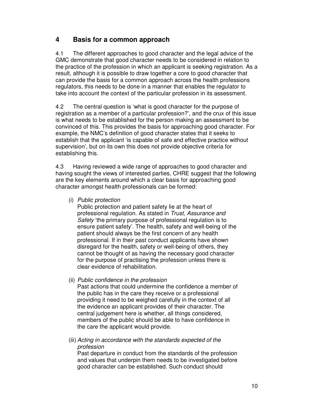## **4 Basis for a common approach**

4.1 The different approaches to good character and the legal advice of the GMC demonstrate that good character needs to be considered in relation to the practice of the profession in which an applicant is seeking registration. As a result, although it is possible to draw together a core to good character that can provide the basis for a common approach across the health professions regulators, this needs to be done in a manner that enables the regulator to take into account the context of the particular profession in its assessment.

4.2 The central question is 'what is good character for the purpose of registration as a member of a particular profession?', and the crux of this issue is what needs to be established for the person making an assessment to be convinced of this. This provides the basis for approaching good character. For example, the NMC's definition of good character states that it seeks to establish that the applicant 'is capable of safe and effective practice without supervision', but on its own this does not provide objective criteria for establishing this.

4.3 Having reviewed a wide range of approaches to good character and having sought the views of interested parties, CHRE suggest that the following are the key elements around which a clear basis for approaching good character amongst health professionals can be formed:

(i) Public protection

 Public protection and patient safety lie at the heart of professional regulation. As stated in Trust, Assurance and Safety 'the primary purpose of professional regulation is to ensure patient safety'. The health, safety and well-being of the patient should always be the first concern of any health professional. If in their past conduct applicants have shown disregard for the health, safety or well-being of others, they cannot be thought of as having the necessary good character for the purpose of practising the profession unless there is clear evidence of rehabilitation.

(ii) Public confidence in the profession

 Past actions that could undermine the confidence a member of the public has in the care they receive or a professional providing it need to be weighed carefully in the context of all the evidence an applicant provides of their character. The central judgement here is whether, all things considered, members of the public should be able to have confidence in the care the applicant would provide.

(iii) Acting in accordance with the standards expected of the profession

 Past departure in conduct from the standards of the profession and values that underpin them needs to be investigated before good character can be established. Such conduct should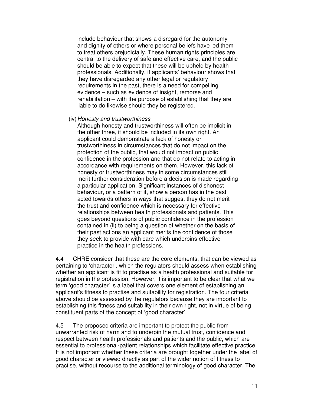include behaviour that shows a disregard for the autonomy and dignity of others or where personal beliefs have led them to treat others prejudicially. These human rights principles are central to the delivery of safe and effective care, and the public should be able to expect that these will be upheld by health professionals. Additionally, if applicants' behaviour shows that they have disregarded any other legal or regulatory requirements in the past, there is a need for compelling evidence – such as evidence of insight, remorse and rehabilitation – with the purpose of establishing that they are liable to do likewise should they be registered.

(iv) Honesty and trustworthiness

 Although honesty and trustworthiness will often be implicit in the other three, it should be included in its own right. An applicant could demonstrate a lack of honesty or trustworthiness in circumstances that do not impact on the protection of the public, that would not impact on public confidence in the profession and that do not relate to acting in accordance with requirements on them. However, this lack of honesty or trustworthiness may in some circumstances still merit further consideration before a decision is made regarding a particular application. Significant instances of dishonest behaviour, or a pattern of it, show a person has in the past acted towards others in ways that suggest they do not merit the trust and confidence which is necessary for effective relationships between health professionals and patients. This goes beyond questions of public confidence in the profession contained in (ii) to being a question of whether on the basis of their past actions an applicant merits the confidence of those they seek to provide with care which underpins effective practice in the health professions.

4.4 CHRE consider that these are the core elements, that can be viewed as pertaining to 'character', which the regulators should assess when establishing whether an applicant is fit to practise as a health professional and suitable for registration in the profession. However, it is important to be clear that what we term 'good character' is a label that covers one element of establishing an applicant's fitness to practise and suitability for registration. The four criteria above should be assessed by the regulators because they are important to establishing this fitness and suitability in their own right, not in virtue of being constituent parts of the concept of 'good character'.

4.5 The proposed criteria are important to protect the public from unwarranted risk of harm and to underpin the mutual trust, confidence and respect between health professionals and patients and the public, which are essential to professional-patient relationships which facilitate effective practice. It is not important whether these criteria are brought together under the label of good character or viewed directly as part of the wider notion of fitness to practise, without recourse to the additional terminology of good character. The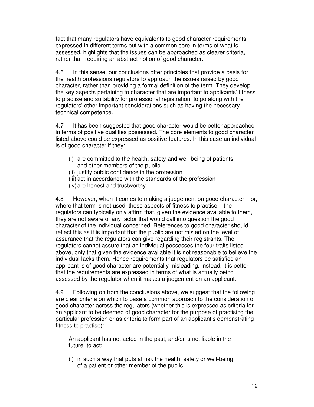fact that many regulators have equivalents to good character requirements, expressed in different terms but with a common core in terms of what is assessed, highlights that the issues can be approached as clearer criteria, rather than requiring an abstract notion of good character.

4.6 In this sense, our conclusions offer principles that provide a basis for the health professions regulators to approach the issues raised by good character, rather than providing a formal definition of the term. They develop the key aspects pertaining to character that are important to applicants' fitness to practise and suitability for professional registration, to go along with the regulators' other important considerations such as having the necessary technical competence.

4.7 It has been suggested that good character would be better approached in terms of positive qualities possessed. The core elements to good character listed above could be expressed as positive features. In this case an individual is of good character if they:

- (i) are committed to the health, safety and well-being of patients and other members of the public
- (ii) justify public confidence in the profession
- (iii) act in accordance with the standards of the profession
- (iv) are honest and trustworthy.

4.8 However, when it comes to making a judgement on good character – or, where that term is not used, these aspects of fitness to practise – the regulators can typically only affirm that, given the evidence available to them, they are not aware of any factor that would call into question the good character of the individual concerned. References to good character should reflect this as it is important that the public are not misled on the level of assurance that the regulators can give regarding their registrants. The regulators cannot assure that an individual possesses the four traits listed above, only that given the evidence available it is not reasonable to believe the individual lacks them. Hence requirements that regulators be satisfied an applicant is of good character are potentially misleading. Instead, it is better that the requirements are expressed in terms of what is actually being assessed by the regulator when it makes a judgement on an applicant.

4.9 Following on from the conclusions above, we suggest that the following are clear criteria on which to base a common approach to the consideration of good character across the regulators (whether this is expressed as criteria for an applicant to be deemed of good character for the purpose of practising the particular profession or as criteria to form part of an applicant's demonstrating fitness to practise):

An applicant has not acted in the past, and/or is not liable in the future, to act:

(i) in such a way that puts at risk the health, safety or well-being of a patient or other member of the public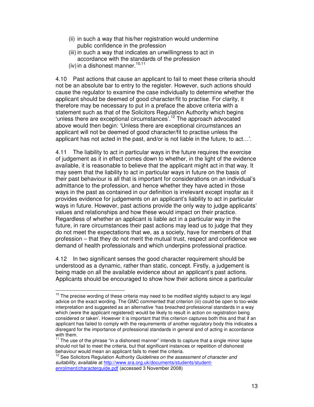- (ii) in such a way that his/her registration would undermine public confidence in the profession
- (iii) in such a way that indicates an unwillingness to act in accordance with the standards of the profession
- (iv) in a dishonest manner.  $10,11$

l

4.10 Past actions that cause an applicant to fail to meet these criteria should not be an absolute bar to entry to the register. However, such actions should cause the regulator to examine the case individually to determine whether the applicant should be deemed of good character/fit to practise. For clarity, it therefore may be necessary to put in a preface the above criteria with a statement such as that of the Solicitors Regulation Authority which begins 'unless there are exceptional circumstances'.<sup>12</sup> The approach advocated above would then begin: 'Unless there are exceptional circumstances an applicant will not be deemed of good character/fit to practise unless the applicant has not acted in the past, and/or is not liable in the future, to act…'.

4.11 The liability to act in particular ways in the future requires the exercise of judgement as it in effect comes down to whether, in the light of the evidence available, it is reasonable to believe that the applicant might act in that way. It may seem that the liability to act in particular ways in future on the basis of their past behaviour is all that is important for considerations on an individual's admittance to the profession, and hence whether they have acted in those ways in the past as contained in our definition is irrelevant except insofar as it provides evidence for judgements on an applicant's liability to act in particular ways in future. However, past actions provide the only way to judge applicants' values and relationships and how these would impact on their practice. Regardless of whether an applicant is liable act in a particular way in the future, in rare circumstances their past actions may lead us to judge that they do not meet the expectations that we, as a society, have for members of that profession – that they do not merit the mutual trust, respect and confidence we demand of health professionals and which underpins professional practice.

4.12 In two significant senses the good character requirement should be understood as a dynamic, rather than static, concept. Firstly, a judgement is being made on all the available evidence about an applicant's past actions. Applicants should be encouraged to show how their actions since a particular

 $10$  The precise wording of these criteria may need to be modified slightly subject to any legal advice on the exact wording. The GMC commented that criterion (iii) could be open to too-wide interpretation and suggested as an alternative 'has breached professional standards in a way which (were the applicant registered) would be likely to result in action on registration being considered or taken'. However it is important that this criterion captures both this and that if an applicant has failed to comply with the requirements of another regulatory body this indicates a disregard for the importance of professional standards in general and of acting in accordance with them.

 $11$  The use of the phrase "in a dishonest manner" intends to capture that a single minor lapse should not fail to meet the criteria, but that significant instances or repetition of dishonest behaviour would mean an applicant fails to meet the criteria.

 $12$  See Solicitors Regulation Authority Guidelines on the assessment of character and suitability, available at http://www.sra.org.uk/documents/students/studentenrolment/characterguide.pdf (accessed 3 November 2008)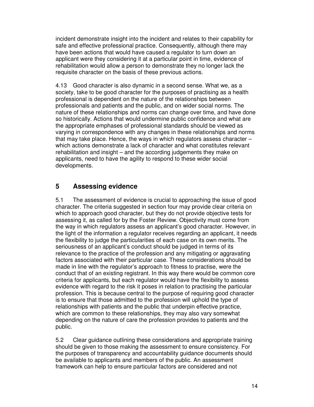incident demonstrate insight into the incident and relates to their capability for safe and effective professional practice. Consequently, although there may have been actions that would have caused a regulator to turn down an applicant were they considering it at a particular point in time, evidence of rehabilitation would allow a person to demonstrate they no longer lack the requisite character on the basis of these previous actions.

4.13 Good character is also dynamic in a second sense. What we, as a society, take to be good character for the purposes of practising as a health professional is dependent on the nature of the relationships between professionals and patients and the public, and on wider social norms. The nature of these relationships and norms can change over time, and have done so historically. Actions that would undermine public confidence and what are the appropriate emphases of professional standards should be viewed as varying in correspondence with any changes in these relationships and norms that may take place. Hence, the ways in which regulators assess character – which actions demonstrate a lack of character and what constitutes relevant rehabilitation and insight – and the according judgements they make on applicants, need to have the agility to respond to these wider social developments.

## **5 Assessing evidence**

5.1 The assessment of evidence is crucial to approaching the issue of good character. The criteria suggested in section four may provide clear criteria on which to approach good character, but they do not provide objective tests for assessing it, as called for by the Foster Review. Objectivity must come from the way in which regulators assess an applicant's good character. However, in the light of the information a regulator receives regarding an applicant, it needs the flexibility to judge the particularities of each case on its own merits. The seriousness of an applicant's conduct should be judged in terms of its relevance to the practice of the profession and any mitigating or aggravating factors associated with their particular case. These considerations should be made in line with the regulator's approach to fitness to practise, were the conduct that of an existing registrant. In this way there would be common core criteria for applicants, but each regulator would have the flexibility to assess evidence with regard to the risk it poses in relation to practising the particular profession. This is because central to the purpose of requiring good character is to ensure that those admitted to the profession will uphold the type of relationships with patients and the public that underpin effective practice, which are common to these relationships, they may also vary somewhat depending on the nature of care the profession provides to patients and the public.

5.2 Clear guidance outlining these considerations and appropriate training should be given to those making the assessment to ensure consistency. For the purposes of transparency and accountability guidance documents should be available to applicants and members of the public. An assessment framework can help to ensure particular factors are considered and not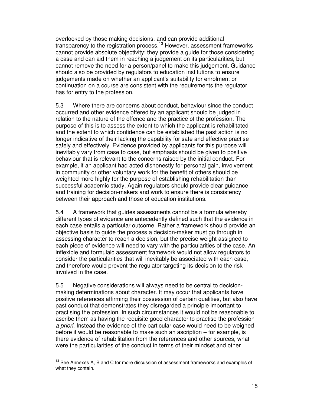overlooked by those making decisions, and can provide additional transparency to the registration process.<sup>13</sup> However, assessment frameworks cannot provide absolute objectivity; they provide a guide for those considering a case and can aid them in reaching a judgement on its particularities, but cannot remove the need for a person/panel to make this judgement. Guidance should also be provided by regulators to education institutions to ensure judgements made on whether an applicant's suitability for enrolment or continuation on a course are consistent with the requirements the regulator has for entry to the profession.

5.3 Where there are concerns about conduct, behaviour since the conduct occurred and other evidence offered by an applicant should be judged in relation to the nature of the offence and the practice of the profession. The purpose of this is to assess the extent to which the applicant is rehabilitated and the extent to which confidence can be established the past action is no longer indicative of their lacking the capability for safe and effective practise safely and effectively. Evidence provided by applicants for this purpose will inevitably vary from case to case, but emphasis should be given to positive behaviour that is relevant to the concerns raised by the initial conduct. For example, if an applicant had acted dishonestly for personal gain, involvement in community or other voluntary work for the benefit of others should be weighted more highly for the purpose of establishing rehabilitation than successful academic study. Again regulators should provide clear guidance and training for decision-makers and work to ensure there is consistency between their approach and those of education institutions.

5.4 A framework that guides assessments cannot be a formula whereby different types of evidence are antecedently defined such that the evidence in each case entails a particular outcome. Rather a framework should provide an objective basis to guide the process a decision-maker must go through in assessing character to reach a decision, but the precise weight assigned to each piece of evidence will need to vary with the particularities of the case. An inflexible and formulaic assessment framework would not allow regulators to consider the particularities that will inevitably be associated with each case, and therefore would prevent the regulator targeting its decision to the risk involved in the case.

5.5 Negative considerations will always need to be central to decisionmaking determinations about character. It may occur that applicants have positive references affirming their possession of certain qualities, but also have past conduct that demonstrates they disregarded a principle important to practising the profession. In such circumstances it would not be reasonable to ascribe them as having the requisite good character to practise the profession a priori. Instead the evidence of the particular case would need to be weighed before it would be reasonable to make such an ascription – for example, is there evidence of rehabilitation from the references and other sources, what were the particularities of the conduct in terms of their mindset and other

 $13$  See Annexes A, B and C for more discussion of assessment frameworks and examples of what they contain.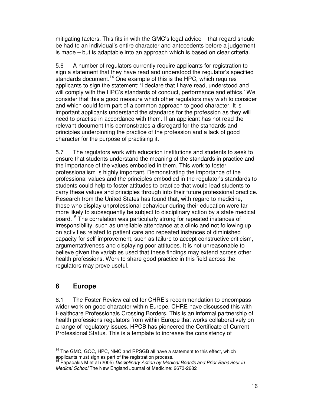mitigating factors. This fits in with the GMC's legal advice – that regard should be had to an individual's entire character and antecedents before a judgement is made – but is adaptable into an approach which is based on clear criteria.

5.6 A number of regulators currently require applicants for registration to sign a statement that they have read and understood the regulator's specified standards document.<sup>14</sup> One example of this is the HPC, which requires applicants to sign the statement: 'I declare that I have read, understood and will comply with the HPC's standards of conduct, performance and ethics.' We consider that this a good measure which other regulators may wish to consider and which could form part of a common approach to good character. It is important applicants understand the standards for the profession as they will need to practise in accordance with them. If an applicant has not read the relevant document this demonstrates a disregard for the standards and principles underpinning the practice of the profession and a lack of good character for the purpose of practising it.

5.7 The regulators work with education institutions and students to seek to ensure that students understand the meaning of the standards in practice and the importance of the values embodied in them. This work to foster professionalism is highly important. Demonstrating the importance of the professional values and the principles embodied in the regulator's standards to students could help to foster attitudes to practice that would lead students to carry these values and principles through into their future professional practice. Research from the United States has found that, with regard to medicine, those who display unprofessional behaviour during their education were far more likely to subsequently be subject to disciplinary action by a state medical board.<sup>15</sup> The correlation was particularly strong for repeated instances of irresponsibility, such as unreliable attendance at a clinic and not following up on activities related to patient care and repeated instances of diminished capacity for self-improvement, such as failure to accept constructive criticism, argumentativeness and displaying poor attitudes. It is not unreasonable to believe given the variables used that these findings may extend across other health professions. Work to share good practice in this field across the regulators may prove useful.

## **6 Europe**

l

6.1 The Foster Review called for CHRE's recommendation to encompass wider work on good character within Europe. CHRE have discussed this with Healthcare Professionals Crossing Borders. This is an informal partnership of health professions regulators from within Europe that works collaboratively on a range of regulatory issues. HPCB has pioneered the Certificate of Current Professional Status. This is a template to increase the consistency of

<sup>&</sup>lt;sup>14</sup> The GMC, GOC, HPC, NMC and RPSGB all have a statement to this effect, which applicants must sign as part of the registration process.

Papadakis M et al (2005) Disciplinary Action by Medical Boards and Prior Behaviour in Medical School The New England Journal of Medicine: 2673-2682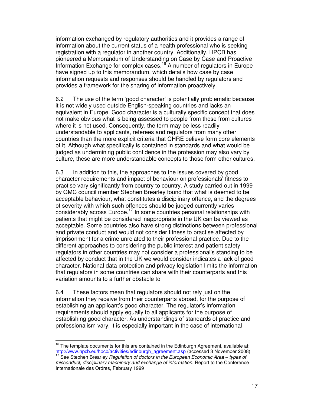information exchanged by regulatory authorities and it provides a range of information about the current status of a health professional who is seeking registration with a regulator in another country. Additionally, HPCB has pioneered a Memorandum of Understanding on Case by Case and Proactive Information Exchange for complex cases.<sup>16</sup> A number of regulators in Europe have signed up to this memorandum, which details how case by case information requests and responses should be handled by regulators and provides a framework for the sharing of information proactively.

6.2 The use of the term 'good character' is potentially problematic because it is not widely used outside English-speaking countries and lacks an equivalent in Europe. Good character is a culturally specific concept that does not make obvious what is being assessed to people from those from cultures where it is not used. Consequently, the term may be less readily understandable to applicants, referees and regulators from many other countries than the more explicit criteria that CHRE believe form core elements of it. Although what specifically is contained in standards and what would be judged as undermining public confidence in the profession may also vary by culture, these are more understandable concepts to those form other cultures.

6.3 In addition to this, the approaches to the issues covered by good character requirements and impact of behaviour on professionals' fitness to practise vary significantly from country to country. A study carried out in 1999 by GMC council member Stephen Brearley found that what is deemed to be acceptable behaviour, what constitutes a disciplinary offence, and the degrees of severity with which such offences should be judged currently varies considerably across Europe.<sup>17</sup> In some countries personal relationships with patients that might be considered inappropriate in the UK can be viewed as acceptable. Some countries also have strong distinctions between professional and private conduct and would not consider fitness to practise affected by imprisonment for a crime unrelated to their professional practice. Due to the different approaches to considering the public interest and patient safety regulators in other countries may not consider a professional's standing to be affected by conduct that in the UK we would consider indicates a lack of good character. National data protection and privacy legislation limits the information that regulators in some countries can share with their counterparts and this variation amounts to a further obstacle to

6.4 These factors mean that regulators should not rely just on the information they receive from their counterparts abroad, for the purpose of establishing an applicant's good character. The regulator's information requirements should apply equally to all applicants for the purpose of establishing good character. As understandings of standards of practice and professionalism vary, it is especially important in the case of international

 $16$  The template documents for this are contained in the Edinburgh Agreement, available at: http://www.hpcb.eu/hpcb/activities/edinburgh\_agreement.asp (accessed 3 November 2008)

See Stephen Brearley Regulation of doctors in the European Economic Area – types of misconduct, disciplinary machinery and exchange of information. Report to the Conference Internationale des Ordres, February 1999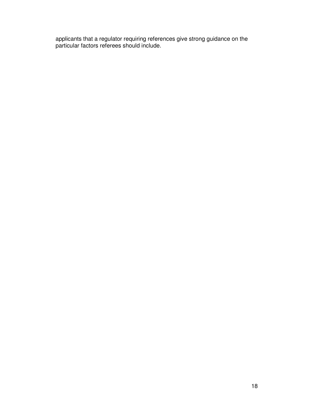applicants that a regulator requiring references give strong guidance on the particular factors referees should include.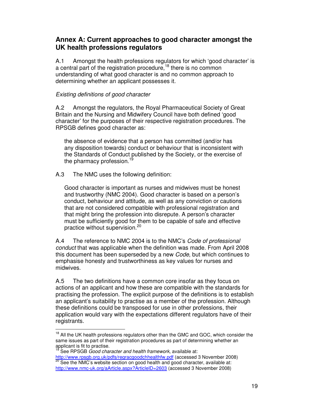## **Annex A: Current approaches to good character amongst the UK health professions regulators**

A.1 Amongst the health professions regulators for which 'good character' is a central part of the registration procedure,<sup>18</sup> there is no common understanding of what good character is and no common approach to determining whether an applicant possesses it.

## Existing definitions of good character

A.2 Amongst the regulators, the Royal Pharmaceutical Society of Great Britain and the Nursing and Midwifery Council have both defined 'good character' for the purposes of their respective registration procedures. The RPSGB defines good character as:

the absence of evidence that a person has committed (and/or has any disposition towards) conduct or behaviour that is inconsistent with the Standards of Conduct published by the Society, or the exercise of the pharmacy profession.<sup>19</sup>

A.3 The NMC uses the following definition:

Good character is important as nurses and midwives must be honest and trustworthy (NMC 2004). Good character is based on a person's conduct, behaviour and attitude, as well as any conviction or cautions that are not considered compatible with professional registration and that might bring the profession into disrepute. A person's character must be sufficiently good for them to be capable of safe and effective practice without supervision.<sup>20</sup>

A.4 The reference to NMC 2004 is to the NMC's Code of professional conduct that was applicable when the definition was made. From April 2008 this document has been superseded by a new Code, but which continues to emphasise honesty and trustworthiness as key values for nurses and midwives.

A.5 The two definitions have a common core insofar as they focus on actions of an applicant and how these are compatible with the standards for practising the profession. The explicit purpose of the definitions is to establish an applicant's suitability to practise as a member of the profession. Although these definitions could be transposed for use in other professions, their application would vary with the expectations different regulators have of their registrants.

<sup>&</sup>lt;sup>18</sup> All the UK health professions regulators other than the GMC and GOC, which consider the same issues as part of their registration procedures as part of determining whether an applicant is fit to practise.

<sup>&</sup>lt;sup>19</sup> See RPSGB Good character and health framework, available at:

http://www.rpsgb.org.uk/pdfs/regracgoodchhealthfw.pdf (accessed 3 November 2008) See the NMC's website section on good health and good character, available at: http://www.nmc-uk.org/aArticle.aspx?ArticleID=2603 (accessed 3 November 2008)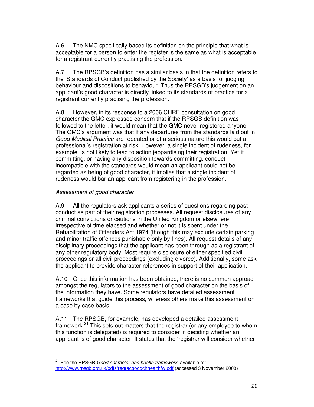A.6 The NMC specifically based its definition on the principle that what is acceptable for a person to enter the register is the same as what is acceptable for a registrant currently practising the profession.

A.7 The RPSGB's definition has a similar basis in that the definition refers to the 'Standards of Conduct published by the Society' as a basis for judging behaviour and dispositions to behaviour. Thus the RPSGB's judgement on an applicant's good character is directly linked to its standards of practice for a registrant currently practising the profession.

A.8 However, in its response to a 2006 CHRE consultation on good character the GMC expressed concern that if the RPSGB definition was followed to the letter, it would mean that the GMC never registered anyone. The GMC's argument was that if any departures from the standards laid out in Good Medical Practice are repeated or of a serious nature this would put a professional's registration at risk. However, a single incident of rudeness, for example, is not likely to lead to action jeopardising their registration. Yet if committing, or having any disposition towards committing, conduct incompatible with the standards would mean an applicant could not be regarded as being of good character, it implies that a single incident of rudeness would bar an applicant from registering in the profession.

#### Assessment of good character

l

A.9 All the regulators ask applicants a series of questions regarding past conduct as part of their registration processes. All request disclosures of any criminal convictions or cautions in the United Kingdom or elsewhere irrespective of time elapsed and whether or not it is spent under the Rehabilitation of Offenders Act 1974 (though this may exclude certain parking and minor traffic offences punishable only by fines). All request details of any disciplinary proceedings that the applicant has been through as a registrant of any other regulatory body. Most require disclosure of either specified civil proceedings or all civil proceedings (excluding divorce). Additionally, some ask the applicant to provide character references in support of their application.

A.10 Once this information has been obtained, there is no common approach amongst the regulators to the assessment of good character on the basis of the information they have. Some regulators have detailed assessment frameworks that guide this process, whereas others make this assessment on a case by case basis.

A.11 The RPSGB, for example, has developed a detailed assessment framework.<sup>21</sup> This sets out matters that the registrar (or any employee to whom this function is delegated) is required to consider in deciding whether an applicant is of good character. It states that the 'registrar will consider whether

 $21$  See the RPSGB Good character and health framework, available at: http://www.rpsgb.org.uk/pdfs/regracgoodchhealthfw.pdf (accessed 3 November 2008)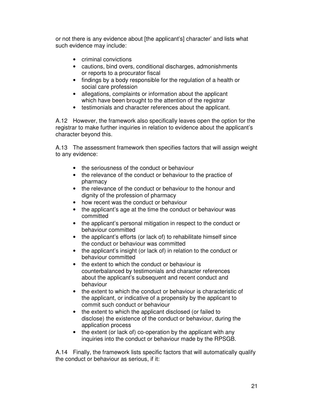or not there is any evidence about [the applicant's] character' and lists what such evidence may include:

- criminal convictions
- cautions, bind overs, conditional discharges, admonishments or reports to a procurator fiscal
- findings by a body responsible for the regulation of a health or social care profession
- allegations, complaints or information about the applicant which have been brought to the attention of the registrar
- testimonials and character references about the applicant.

A.12 However, the framework also specifically leaves open the option for the registrar to make further inquiries in relation to evidence about the applicant's character beyond this.

A.13 The assessment framework then specifies factors that will assign weight to any evidence:

- the seriousness of the conduct or behaviour
- the relevance of the conduct or behaviour to the practice of pharmacy
- the relevance of the conduct or behaviour to the honour and dignity of the profession of pharmacy
- how recent was the conduct or behaviour
- the applicant's age at the time the conduct or behaviour was committed
- the applicant's personal mitigation in respect to the conduct or behaviour committed
- the applicant's efforts (or lack of) to rehabilitate himself since the conduct or behaviour was committed
- the applicant's insight (or lack of) in relation to the conduct or behaviour committed
- the extent to which the conduct or behaviour is counterbalanced by testimonials and character references about the applicant's subsequent and recent conduct and behaviour
- the extent to which the conduct or behaviour is characteristic of the applicant, or indicative of a propensity by the applicant to commit such conduct or behaviour
- the extent to which the applicant disclosed (or failed to disclose) the existence of the conduct or behaviour, during the application process
- the extent (or lack of) co-operation by the applicant with any inquiries into the conduct or behaviour made by the RPSGB.

A.14 Finally, the framework lists specific factors that will automatically qualify the conduct or behaviour as serious, if it: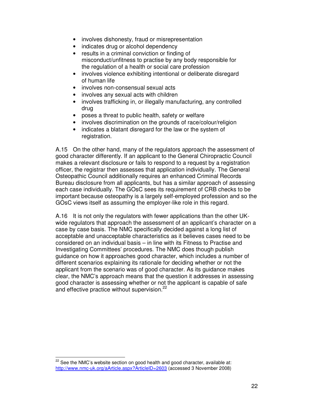- involves dishonesty, fraud or misrepresentation
- indicates drug or alcohol dependency
- results in a criminal conviction or finding of misconduct/unfitness to practise by any body responsible for the regulation of a health or social care profession
- involves violence exhibiting intentional or deliberate disregard of human life
- involves non-consensual sexual acts
- involves any sexual acts with children
- involves trafficking in, or illegally manufacturing, any controlled drug
- poses a threat to public health, safety or welfare
- involves discrimination on the grounds of race/colour/religion
- indicates a blatant disregard for the law or the system of registration.

A.15 On the other hand, many of the regulators approach the assessment of good character differently. If an applicant to the General Chiropractic Council makes a relevant disclosure or fails to respond to a request by a registration officer, the registrar then assesses that application individually. The General Osteopathic Council additionally requires an enhanced Criminal Records Bureau disclosure from all applicants, but has a similar approach of assessing each case individually. The GOsC sees its requirement of CRB checks to be important because osteopathy is a largely self-employed profession and so the GOsC views itself as assuming the employer-like role in this regard.

A.16 It is not only the regulators with fewer applications than the other UKwide regulators that approach the assessment of an applicant's character on a case by case basis. The NMC specifically decided against a long list of acceptable and unacceptable characteristics as it believes cases need to be considered on an individual basis – in line with its Fitness to Practise and Investigating Committees' procedures. The NMC does though publish guidance on how it approaches good character, which includes a number of different scenarios explaining its rationale for deciding whether or not the applicant from the scenario was of good character. As its guidance makes clear, the NMC's approach means that the question it addresses in assessing good character is assessing whether or not the applicant is capable of safe and effective practice without supervision.<sup>22</sup>

 $22$  See the NMC's website section on good health and good character, available at: http://www.nmc-uk.org/aArticle.aspx?ArticleID=2603 (accessed 3 November 2008)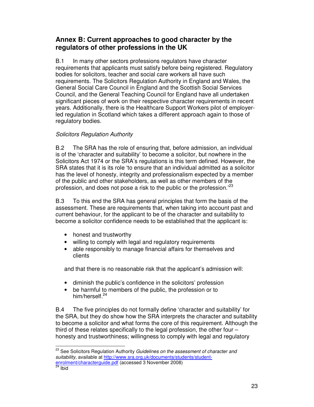## **Annex B: Current approaches to good character by the regulators of other professions in the UK**

B.1 In many other sectors professions regulators have character requirements that applicants must satisfy before being registered. Regulatory bodies for solicitors, teacher and social care workers all have such requirements. The Solicitors Regulation Authority in England and Wales, the General Social Care Council in England and the Scottish Social Services Council, and the General Teaching Council for England have all undertaken significant pieces of work on their respective character requirements in recent years. Additionally, there is the Healthcare Support Workers pilot of employerled regulation in Scotland which takes a different approach again to those of regulatory bodies.

## Solicitors Regulation Authority

B.2 The SRA has the role of ensuring that, before admission, an individual is of the 'character and suitability' to become a solicitor, but nowhere in the Solicitors Act 1974 or the SRA's regulations is this term defined. However, the SRA states that it is its role 'to ensure that an individual admitted as a solicitor has the level of honesty, integrity and professionalism expected by a member of the public and other stakeholders, as well as other members of the profession, and does not pose a risk to the public or the profession.<sup>23</sup>

B.3 To this end the SRA has general principles that form the basis of the assessment. These are requirements that, when taking into account past and current behaviour, for the applicant to be of the character and suitability to become a solicitor confidence needs to be established that the applicant is:

- honest and trustworthy
- willing to comply with legal and regulatory requirements
- able responsibly to manage financial affairs for themselves and clients

and that there is no reasonable risk that the applicant's admission will:

- diminish the public's confidence in the solicitors' profession
- be harmful to members of the public, the profession or to him/herself.<sup>24</sup>

B.4 The five principles do not formally define 'character and suitability' for the SRA, but they do show how the SRA interprets the character and suitability to become a solicitor and what forms the core of this requirement. Although the third of these relates specifically to the legal profession, the other four – honesty and trustworthiness; willingness to comply with legal and regulatory

<sup>&</sup>lt;sup>23</sup> See Solicitors Regulation Authority Guidelines on the assessment of character and suitability, available at http://www.sra.org.uk/documents/students/studentenrolment/characterguide.pdf (accessed 3 November 2008)

<sup>&</sup>lt;sup>24</sup> Ibid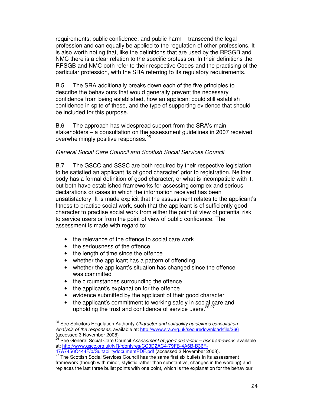requirements; public confidence; and public harm – transcend the legal profession and can equally be applied to the regulation of other professions. It is also worth noting that, like the definitions that are used by the RPSGB and NMC there is a clear relation to the specific profession. In their definitions the RPSGB and NMC both refer to their respective Codes and the practising of the particular profession, with the SRA referring to its regulatory requirements.

B.5 The SRA additionally breaks down each of the five principles to describe the behaviours that would generally prevent the necessary confidence from being established, how an applicant could still establish confidence in spite of these, and the type of supporting evidence that should be included for this purpose.

B.6 The approach has widespread support from the SRA's main stakeholders – a consultation on the assessment guidelines in 2007 received overwhelmingly positive responses.<sup>25</sup>

#### General Social Care Council and Scottish Social Services Council

B.7 The GSCC and SSSC are both required by their respective legislation to be satisfied an applicant 'is of good character' prior to registration. Neither body has a formal definition of good character, or what is incompatible with it, but both have established frameworks for assessing complex and serious declarations or cases in which the information received has been unsatisfactory. It is made explicit that the assessment relates to the applicant's fitness to practise social work, such that the applicant is of sufficiently good character to practise social work from either the point of view of potential risk to service users or from the point of view of public confidence. The assessment is made with regard to:

- the relevance of the offence to social care work
- the seriousness of the offence

- the length of time since the offence
- whether the applicant has a pattern of offending
- whether the applicant's situation has changed since the offence was committed
- the circumstances surrounding the offence
- the applicant's explanation for the offence
- evidence submitted by the applicant of their good character
- the applicant's commitment to working safely in social care and upholding the trust and confidence of service users.<sup>26,27</sup>

 $25$  See Solicitors Regulation Authority Character and suitability guidelines consultation: Analysis of the responses, available at: http://www.sra.org.uk/securedownload/file/266 (accessed 3 November 2008)

See General Social Care Council Assessment of good character – risk framework, available at: http://www.gscc.org.uk/NR/rdonlyres/CC3D2AC4-79FB-4A6B-B36F-47A7456C444F/0/SuitabilitydocumentPDF.pdf (accessed 3 November 2008).

<sup>27</sup> The Scottish Social Services Council has the same first six bullets in its assessment framework (though with minor, stylistic rather than substantive, changes in the wording) and

replaces the last three bullet points with one point, which is the explanation for the behaviour.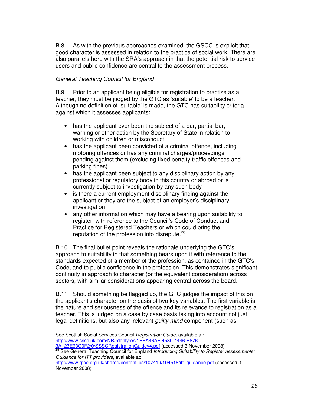B.8 As with the previous approaches examined, the GSCC is explicit that good character is assessed in relation to the practice of social work. There are also parallels here with the SRA's approach in that the potential risk to service users and public confidence are central to the assessment process.

#### General Teaching Council for England

l

B.9 Prior to an applicant being eligible for registration to practise as a teacher, they must be judged by the GTC as 'suitable' to be a teacher. Although no definition of 'suitable' is made, the GTC has suitability criteria against which it assesses applicants:

- has the applicant ever been the subject of a bar, partial bar, warning or other action by the Secretary of State in relation to working with children or misconduct
- has the applicant been convicted of a criminal offence, including motoring offences or has any criminal charges/proceedings pending against them (excluding fixed penalty traffic offences and parking fines)
- has the applicant been subject to any disciplinary action by any professional or regulatory body in this country or abroad or is currently subject to investigation by any such body
- is there a current employment disciplinary finding against the applicant or they are the subject of an employer's disciplinary investigation
- any other information which may have a bearing upon suitability to register, with reference to the Council's Code of Conduct and Practice for Registered Teachers or which could bring the reputation of the profession into disrepute.<sup>28</sup>

B.10 The final bullet point reveals the rationale underlying the GTC's approach to suitability in that something bears upon it with reference to the standards expected of a member of the profession, as contained in the GTC's Code, and to public confidence in the profession. This demonstrates significant continuity in approach to character (or the equivalent consideration) across sectors, with similar considerations appearing central across the board.

B.11 Should something be flagged up, the GTC judges the impact of this on the applicant's character on the basis of two key variables. The first variable is the nature and seriousness of the offence and its relevance to registration as a teacher. This is judged on a case by case basis taking into account not just legal definitions, but also any 'relevant *guilty mind* component (such as

| See Scottish Social Services Council Registration Guide, available at:                                  |
|---------------------------------------------------------------------------------------------------------|
| http://www.sssc.uk.com/NR/rdonlyres/1FEA46AF-4580-4446-B876-                                            |
| 3A123E63C0F2/0/SSSCRegistrationGuidev4.pdf (accessed 3 November 2008)                                   |
| <sup>28</sup> See General Teaching Council for England Introducing Suitability to Register assessments: |
| Guidance for ITT providers, available at:                                                               |
| http://www.gtce.org.uk/shared/contentlibs/107419/104518/itt_guidance.pdf (accessed 3                    |
| November 2008)                                                                                          |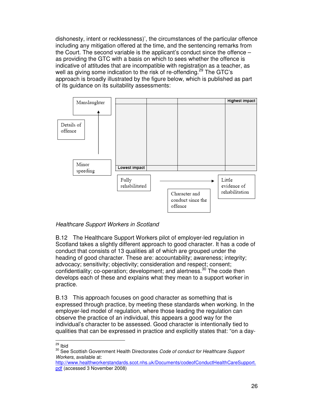dishonesty, intent or recklessness)', the circumstances of the particular offence including any mitigation offered at the time, and the sentencing remarks from the Court. The second variable is the applicant's conduct since the offence – as providing the GTC with a basis on which to sees whether the offence is indicative of attitudes that are incompatible with registration as a teacher, as well as giving some indication to the risk of re-offending.<sup>29</sup> The GTC's approach is broadly illustrated by the figure below, which is published as part of its guidance on its suitability assessments:



### Healthcare Support Workers in Scotland

B.12 The Healthcare Support Workers pilot of employer-led regulation in Scotland takes a slightly different approach to good character. It has a code of conduct that consists of 13 qualities all of which are grouped under the heading of good character. These are: accountability: awareness: integrity: advocacy; sensitivity; objectivity; consideration and respect; consent; confidentiality; co-operation; development; and alertness.<sup>30</sup> The code then develops each of these and explains what they mean to a support worker in practice.

B.13 This approach focuses on good character as something that is expressed through practice, by meeting these standards when working. In the employer-led model of regulation, where those leading the regulation can observe the practice of an individual, this appears a good way for the individual's character to be assessed. Good character is intentionally tied to qualities that can be expressed in practice and explicitly states that: "on a day-

<sup>29</sup> Ibid

<sup>&</sup>lt;sup>30</sup> See Scottish Government Health Directorates Code of conduct for Healthcare Support Workers, available at:

http://www.healthworkerstandards.scot.nhs.uk/Documents/codeofConductHealthCareSupport. pdf (accessed 3 November 2008)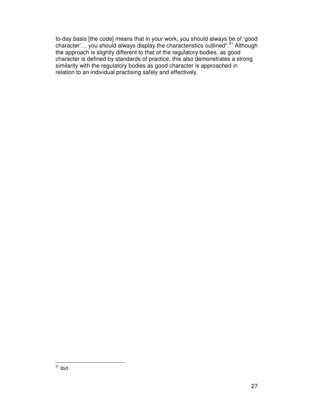to-day basis [the code] means that in your work, you should always be of 'good character'... you should always display the characteristics outlined".<sup>31</sup> Although the approach is slightly different to that of the regulatory bodies, as good character is defined by standards of practice, this also demonstrates a strong similarity with the regulatory bodies as good character is approached in relation to an individual practising safely and effectively.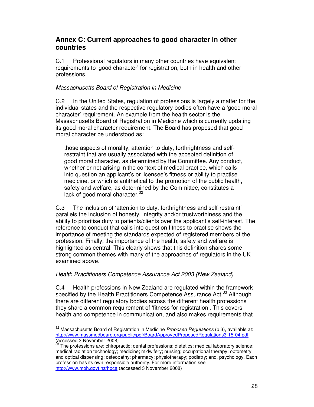## **Annex C: Current approaches to good character in other countries**

C.1 Professional regulators in many other countries have equivalent requirements to 'good character' for registration, both in health and other professions.

#### Massachusetts Board of Registration in Medicine

C.2 In the United States, regulation of professions is largely a matter for the individual states and the respective regulatory bodies often have a 'good moral character' requirement. An example from the health sector is the Massachusetts Board of Registration in Medicine which is currently updating its good moral character requirement. The Board has proposed that good moral character be understood as:

those aspects of morality, attention to duty, forthrightness and selfrestraint that are usually associated with the accepted definition of good moral character, as determined by the Committee. Any conduct, whether or not arising in the context of medical practice, which calls into question an applicant's or licensee's fitness or ability to practise medicine, or which is antithetical to the promotion of the public health, safety and welfare, as determined by the Committee, constitutes a lack of good moral character.<sup>32</sup>

C.3 The inclusion of 'attention to duty, forthrightness and self-restraint' parallels the inclusion of honesty, integrity and/or trustworthiness and the ability to prioritise duty to patients/clients over the applicant's self-interest. The reference to conduct that calls into question fitness to practise shows the importance of meeting the standards expected of registered members of the profession. Finally, the importance of the health, safety and welfare is highlighted as central. This clearly shows that this definition shares some strong common themes with many of the approaches of regulators in the UK examined above.

#### Health Practitioners Competence Assurance Act 2003 (New Zealand)

l

C.4 Health professions in New Zealand are regulated within the framework specified by the Health Practitioners Competence Assurance Act.<sup>33</sup> Although there are different regulatory bodies across the different health professions they share a common requirement of 'fitness for registration'. This covers health and competence in communication, and also makes requirements that

 $32$  Massachusetts Board of Registration in Medicine Proposed Regulations (p 3), available at: http://www.massmedboard.org/public/pdf/BoardApprovedProposedRegulations3-15-04.pdf (accessed 3 November 2008)

The professions are: chiropractic; dental professions; dietetics; medical laboratory science; medical radiation technology; medicine; midwifery; nursing; occupational therapy; optometry and optical dispensing; osteopathy; pharmacy; physiotherapy; podiatry; and, psychology. Each profession has its own responsible authority. For more information see http://www.moh.govt.nz/hpca (accessed 3 November 2008)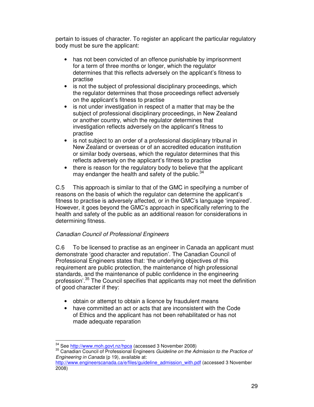pertain to issues of character. To register an applicant the particular regulatory body must be sure the applicant:

- has not been convicted of an offence punishable by imprisonment for a term of three months or longer, which the regulator determines that this reflects adversely on the applicant's fitness to practise
- is not the subject of professional disciplinary proceedings, which the regulator determines that those proceedings reflect adversely on the applicant's fitness to practise
- is not under investigation in respect of a matter that may be the subject of professional disciplinary proceedings, in New Zealand or another country, which the regulator determines that investigation reflects adversely on the applicant's fitness to practise
- is not subject to an order of a professional disciplinary tribunal in New Zealand or overseas or of an accredited education institution or similar body overseas, which the regulator determines that this reflects adversely on the applicant's fitness to practise
- there is reason for the regulatory body to believe that the applicant may endanger the health and safety of the public. $34$

C.5 This approach is similar to that of the GMC in specifying a number of reasons on the basis of which the regulator can determine the applicant's fitness to practise is adversely affected, or in the GMC's language 'impaired'. However, it goes beyond the GMC's approach in specifically referring to the health and safety of the public as an additional reason for considerations in determining fitness.

### Canadian Council of Professional Engineers

C.6 To be licensed to practise as an engineer in Canada an applicant must demonstrate 'good character and reputation'. The Canadian Council of Professional Engineers states that: 'the underlying objectives of this requirement are public protection, the maintenance of high professional standards, and the maintenance of public confidence in the engineering profession'.<sup>35</sup> The Council specifies that applicants may not meet the definition of good character if they:

- obtain or attempt to obtain a licence by fraudulent means
- have committed an act or acts that are inconsistent with the Code of Ethics and the applicant has not been rehabilitated or has not made adequate reparation

<sup>34</sup> See http://www.moh.govt.nz/hpca (accessed 3 November 2008)

<sup>&</sup>lt;sup>35</sup> Canadian Council of Professional Engineers Guideline on the Admission to the Practice of Engineering in Canada (p 19), available at:

http://www.engineerscanada.ca/e/files/guideline\_admission\_with.pdf (accessed 3 November 2008)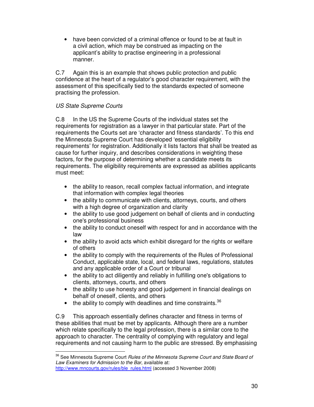• have been convicted of a criminal offence or found to be at fault in a civil action, which may be construed as impacting on the applicant's ability to practise engineering in a professional manner.

C.7 Again this is an example that shows public protection and public confidence at the heart of a regulator's good character requirement, with the assessment of this specifically tied to the standards expected of someone practising the profession.

### US State Supreme Courts

l

C.8 In the US the Supreme Courts of the individual states set the requirements for registration as a lawyer in that particular state. Part of the requirements the Courts set are 'character and fitness standards'. To this end the Minnesota Supreme Court has developed 'essential eligibility requirements' for registration. Additionally it lists factors that shall be treated as cause for further inquiry, and describes considerations in weighting these factors, for the purpose of determining whether a candidate meets its requirements. The eligibility requirements are expressed as abilities applicants must meet:

- the ability to reason, recall complex factual information, and integrate that information with complex legal theories
- the ability to communicate with clients, attorneys, courts, and others with a high degree of organization and clarity
- the ability to use good judgement on behalf of clients and in conducting one's professional business
- the ability to conduct oneself with respect for and in accordance with the law
- the ability to avoid acts which exhibit disregard for the rights or welfare of others
- the ability to comply with the requirements of the Rules of Professional Conduct, applicable state, local, and federal laws, regulations, statutes and any applicable order of a Court or tribunal
- the ability to act diligently and reliably in fulfilling one's obligations to clients, attorneys, courts, and others
- the ability to use honesty and good judgement in financial dealings on behalf of oneself, clients, and others
- the ability to comply with deadlines and time constraints.  $36$

C.9 This approach essentially defines character and fitness in terms of these abilities that must be met by applicants. Although there are a number which relate specifically to the legal profession, there is a similar core to the approach to character. The centrality of complying with regulatory and legal requirements and not causing harm to the public are stressed. By emphasising

<sup>&</sup>lt;sup>36</sup> See Minnesota Supreme Court Rules of the Minnesota Supreme Court and State Board of Law Examiners for Admission to the Bar, available at: http://www.mncourts.gov/rules/ble\_rules.html (accessed 3 November 2008)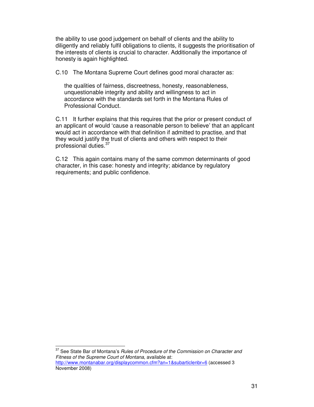the ability to use good judgement on behalf of clients and the ability to diligently and reliably fulfil obligations to clients, it suggests the prioritisation of the interests of clients is crucial to character. Additionally the importance of honesty is again highlighted.

C.10 The Montana Supreme Court defines good moral character as:

the qualities of fairness, discreetness, honesty, reasonableness, unquestionable integrity and ability and willingness to act in accordance with the standards set forth in the Montana Rules of Professional Conduct.

C.11 It further explains that this requires that the prior or present conduct of an applicant of would 'cause a reasonable person to believe' that an applicant would act in accordance with that definition if admitted to practise, and that they would justify the trust of clients and others with respect to their professional duties.<sup>37</sup>

C.12 This again contains many of the same common determinants of good character, in this case: honesty and integrity; abidance by regulatory requirements; and public confidence.

<sup>37</sup> See State Bar of Montana's Rules of Procedure of the Commission on Character and Fitness of the Supreme Court of Montana, available at: http://www.montanabar.org/displaycommon.cfm?an=1&subarticlenbr=6 (accessed 3 November 2008)